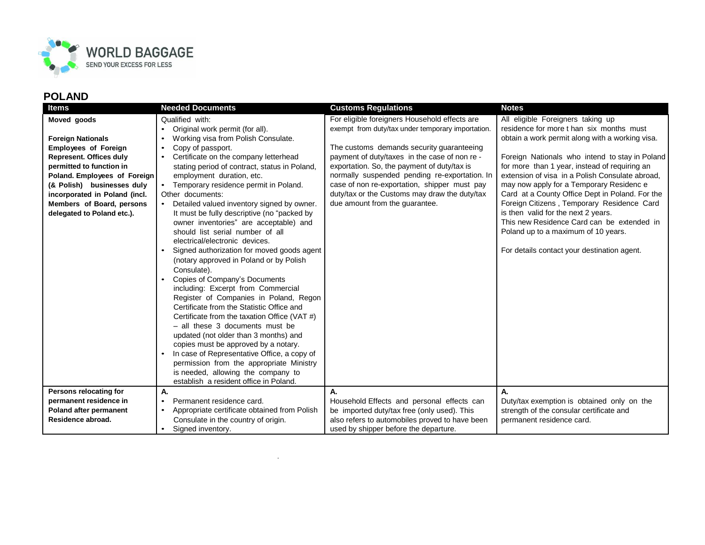

| <b>Items</b>                                     | <b>Needed Documents</b>                                                               | <b>Customs Regulations</b>                        | <b>Notes</b>                                                                      |
|--------------------------------------------------|---------------------------------------------------------------------------------------|---------------------------------------------------|-----------------------------------------------------------------------------------|
| Moved goods                                      | Qualified with:                                                                       | For eligible foreigners Household effects are     | All eligible Foreigners taking up                                                 |
|                                                  | Original work permit (for all).                                                       | exempt from duty/tax under temporary importation. | residence for more t han six months must                                          |
| <b>Foreign Nationals</b>                         | Working visa from Polish Consulate.                                                   |                                                   | obtain a work permit along with a working visa.                                   |
| <b>Employees of Foreign</b>                      | Copy of passport.                                                                     | The customs demands security guaranteeing         |                                                                                   |
| <b>Represent. Offices duly</b>                   | Certificate on the company letterhead                                                 | payment of duty/taxes in the case of non re -     | Foreign Nationals who intend to stay in Poland                                    |
| permitted to function in                         | stating period of contract, status in Poland,                                         | exportation. So, the payment of duty/tax is       | for more than 1 year, instead of requiring an                                     |
| Poland. Employees of Foreign                     | employment duration, etc.                                                             | normally suspended pending re-exportation. In     | extension of visa in a Polish Consulate abroad,                                   |
| (& Polish) businesses duly                       | Temporary residence permit in Poland.<br>$\bullet$                                    | case of non re-exportation, shipper must pay      | may now apply for a Temporary Residenc e                                          |
| incorporated in Poland (incl.                    | Other documents:                                                                      | duty/tax or the Customs may draw the duty/tax     | Card at a County Office Dept in Poland. For the                                   |
| Members of Board, persons                        | Detailed valued inventory signed by owner.                                            | due amount from the guarantee.                    | Foreign Citizens, Temporary Residence Card<br>is then valid for the next 2 years. |
| delegated to Poland etc.).                       | It must be fully descriptive (no "packed by<br>owner inventories" are acceptable) and |                                                   | This new Residence Card can be extended in                                        |
|                                                  | should list serial number of all                                                      |                                                   | Poland up to a maximum of 10 years.                                               |
|                                                  | electrical/electronic devices.                                                        |                                                   |                                                                                   |
|                                                  | Signed authorization for moved goods agent                                            |                                                   | For details contact your destination agent.                                       |
|                                                  | (notary approved in Poland or by Polish                                               |                                                   |                                                                                   |
|                                                  | Consulate).                                                                           |                                                   |                                                                                   |
|                                                  | Copies of Company's Documents                                                         |                                                   |                                                                                   |
|                                                  | including: Excerpt from Commercial                                                    |                                                   |                                                                                   |
|                                                  | Register of Companies in Poland, Regon                                                |                                                   |                                                                                   |
|                                                  | Certificate from the Statistic Office and                                             |                                                   |                                                                                   |
|                                                  | Certificate from the taxation Office (VAT #)                                          |                                                   |                                                                                   |
|                                                  | - all these 3 documents must be                                                       |                                                   |                                                                                   |
|                                                  | updated (not older than 3 months) and                                                 |                                                   |                                                                                   |
|                                                  | copies must be approved by a notary.                                                  |                                                   |                                                                                   |
|                                                  | In case of Representative Office, a copy of                                           |                                                   |                                                                                   |
|                                                  | permission from the appropriate Ministry                                              |                                                   |                                                                                   |
|                                                  | is needed, allowing the company to                                                    |                                                   |                                                                                   |
|                                                  | establish a resident office in Poland.                                                |                                                   |                                                                                   |
| Persons relocating for<br>permanent residence in | А.<br>Permanent residence card.<br>$\bullet$                                          | А.<br>Household Effects and personal effects can  | А.<br>Duty/tax exemption is obtained only on the                                  |
| Poland after permanent                           | Appropriate certificate obtained from Polish<br>$\bullet$                             | be imported duty/tax free (only used). This       | strength of the consular certificate and                                          |
| Residence abroad.                                | Consulate in the country of origin.                                                   | also refers to automobiles proved to have been    | permanent residence card.                                                         |
|                                                  | Signed inventory.                                                                     | used by shipper before the departure.             |                                                                                   |

.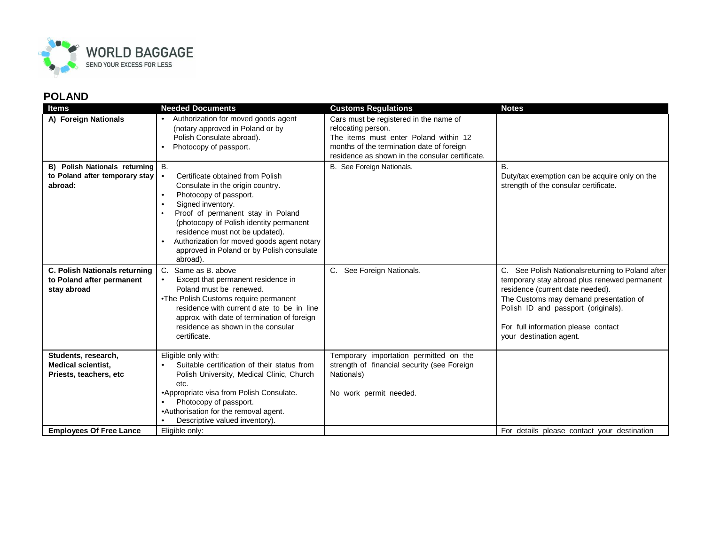

| <b>Items</b>                                                                      | <b>Needed Documents</b>                                                                                                                                                                                                                                                                                                                                                              | <b>Customs Regulations</b>                                                                                                                                                                            | <b>Notes</b>                                                                                                                                                                                                                                                                            |
|-----------------------------------------------------------------------------------|--------------------------------------------------------------------------------------------------------------------------------------------------------------------------------------------------------------------------------------------------------------------------------------------------------------------------------------------------------------------------------------|-------------------------------------------------------------------------------------------------------------------------------------------------------------------------------------------------------|-----------------------------------------------------------------------------------------------------------------------------------------------------------------------------------------------------------------------------------------------------------------------------------------|
| A) Foreign Nationals                                                              | Authorization for moved goods agent<br>(notary approved in Poland or by<br>Polish Consulate abroad).<br>Photocopy of passport.                                                                                                                                                                                                                                                       | Cars must be registered in the name of<br>relocating person.<br>The items must enter Poland within 12<br>months of the termination date of foreign<br>residence as shown in the consular certificate. |                                                                                                                                                                                                                                                                                         |
| B) Polish Nationals returning B.<br>to Poland after temporary stay   •<br>abroad: | Certificate obtained from Polish<br>Consulate in the origin country.<br>Photocopy of passport.<br>$\bullet$<br>Signed inventory.<br>$\bullet$<br>Proof of permanent stay in Poland<br>$\bullet$<br>(photocopy of Polish identity permanent<br>residence must not be updated).<br>Authorization for moved goods agent notary<br>approved in Poland or by Polish consulate<br>abroad). | B. See Foreign Nationals.                                                                                                                                                                             | В.<br>Duty/tax exemption can be acquire only on the<br>strength of the consular certificate.                                                                                                                                                                                            |
| <b>C. Polish Nationals returning</b><br>to Poland after permanent<br>stay abroad  | Same as B, above<br>C.<br>Except that permanent residence in<br>$\bullet$<br>Poland must be renewed.<br>•The Polish Customs require permanent<br>residence with current d ate to be in line<br>approx. with date of termination of foreign<br>residence as shown in the consular<br>certificate.                                                                                     | C. See Foreign Nationals.                                                                                                                                                                             | C. See Polish Nationalsreturning to Poland after<br>temporary stay abroad plus renewed permanent<br>residence (current date needed).<br>The Customs may demand presentation of<br>Polish ID and passport (originals).<br>For full information please contact<br>your destination agent. |
| Students, research,<br><b>Medical scientist,</b><br>Priests, teachers, etc        | Eligible only with:<br>Suitable certification of their status from<br>Polish University, Medical Clinic, Church<br>etc.<br>•Appropriate visa from Polish Consulate.<br>Photocopy of passport.<br>•Authorisation for the removal agent.<br>Descriptive valued inventory).<br>$\bullet$                                                                                                | Temporary importation permitted on the<br>strength of financial security (see Foreign<br>Nationals)<br>No work permit needed.                                                                         |                                                                                                                                                                                                                                                                                         |
| <b>Employees Of Free Lance</b>                                                    | Eligible only:                                                                                                                                                                                                                                                                                                                                                                       |                                                                                                                                                                                                       | For details please contact your destination                                                                                                                                                                                                                                             |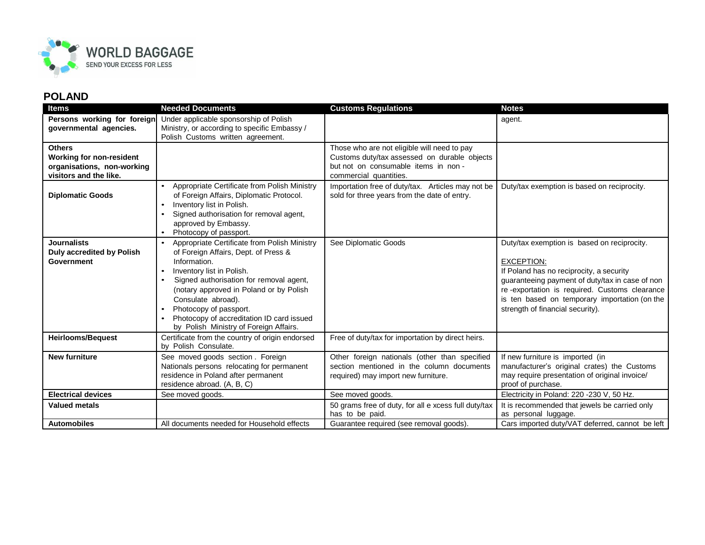

| <b>Items</b>                                                                                      | <b>Needed Documents</b>                                                                                                                                                                                                                                                                                                                                                                               | <b>Customs Regulations</b>                                                                                                                                   | <b>Notes</b>                                                                                                                                                                                                                                                                                          |
|---------------------------------------------------------------------------------------------------|-------------------------------------------------------------------------------------------------------------------------------------------------------------------------------------------------------------------------------------------------------------------------------------------------------------------------------------------------------------------------------------------------------|--------------------------------------------------------------------------------------------------------------------------------------------------------------|-------------------------------------------------------------------------------------------------------------------------------------------------------------------------------------------------------------------------------------------------------------------------------------------------------|
| Persons working for foreign<br>governmental agencies.                                             | Under applicable sponsorship of Polish<br>Ministry, or according to specific Embassy /<br>Polish Customs written agreement.                                                                                                                                                                                                                                                                           |                                                                                                                                                              | agent.                                                                                                                                                                                                                                                                                                |
| <b>Others</b><br>Working for non-resident<br>organisations, non-working<br>visitors and the like. |                                                                                                                                                                                                                                                                                                                                                                                                       | Those who are not eligible will need to pay<br>Customs duty/tax assessed on durable objects<br>but not on consumable items in non-<br>commercial quantities. |                                                                                                                                                                                                                                                                                                       |
| <b>Diplomatic Goods</b>                                                                           | Appropriate Certificate from Polish Ministry<br>of Foreign Affairs, Diplomatic Protocol.<br>Inventory list in Polish.<br>Signed authorisation for removal agent,<br>$\bullet$<br>approved by Embassy.<br>Photocopy of passport.                                                                                                                                                                       | Importation free of duty/tax. Articles may not be<br>sold for three years from the date of entry.                                                            | Duty/tax exemption is based on reciprocity.                                                                                                                                                                                                                                                           |
| <b>Journalists</b><br><b>Duly accredited by Polish</b><br>Government                              | Appropriate Certificate from Polish Ministry<br>$\bullet$<br>of Foreign Affairs, Dept. of Press &<br>Information.<br>Inventory list in Polish.<br>$\bullet$<br>Signed authorisation for removal agent,<br>$\bullet$<br>(notary approved in Poland or by Polish<br>Consulate abroad).<br>Photocopy of passport.<br>Photocopy of accreditation ID card issued<br>by Polish Ministry of Foreign Affairs. | See Diplomatic Goods                                                                                                                                         | Duty/tax exemption is based on reciprocity.<br><b>EXCEPTION:</b><br>If Poland has no reciprocity, a security<br>guaranteeing payment of duty/tax in case of non<br>re-exportation is required. Customs clearance<br>is ten based on temporary importation (on the<br>strength of financial security). |
| <b>Heirlooms/Bequest</b>                                                                          | Certificate from the country of origin endorsed<br>by Polish Consulate.                                                                                                                                                                                                                                                                                                                               | Free of duty/tax for importation by direct heirs.                                                                                                            |                                                                                                                                                                                                                                                                                                       |
| <b>New furniture</b>                                                                              | See moved goods section. Foreign<br>Nationals persons relocating for permanent<br>residence in Poland after permanent<br>residence abroad. (A, B, C)                                                                                                                                                                                                                                                  | Other foreign nationals (other than specified<br>section mentioned in the column documents<br>required) may import new furniture.                            | If new furniture is imported (in<br>manufacturer's original crates) the Customs<br>may require presentation of original invoice/<br>proof of purchase.                                                                                                                                                |
| <b>Electrical devices</b>                                                                         | See moved goods.                                                                                                                                                                                                                                                                                                                                                                                      | See moved goods.                                                                                                                                             | Electricity in Poland: 220 -230 V, 50 Hz.                                                                                                                                                                                                                                                             |
| <b>Valued metals</b>                                                                              |                                                                                                                                                                                                                                                                                                                                                                                                       | 50 grams free of duty, for all e xcess full duty/tax<br>has to be paid.                                                                                      | It is recommended that jewels be carried only<br>as personal luggage.                                                                                                                                                                                                                                 |
| <b>Automobiles</b>                                                                                | All documents needed for Household effects                                                                                                                                                                                                                                                                                                                                                            | Guarantee required (see removal goods).                                                                                                                      | Cars imported duty/VAT deferred, cannot be left                                                                                                                                                                                                                                                       |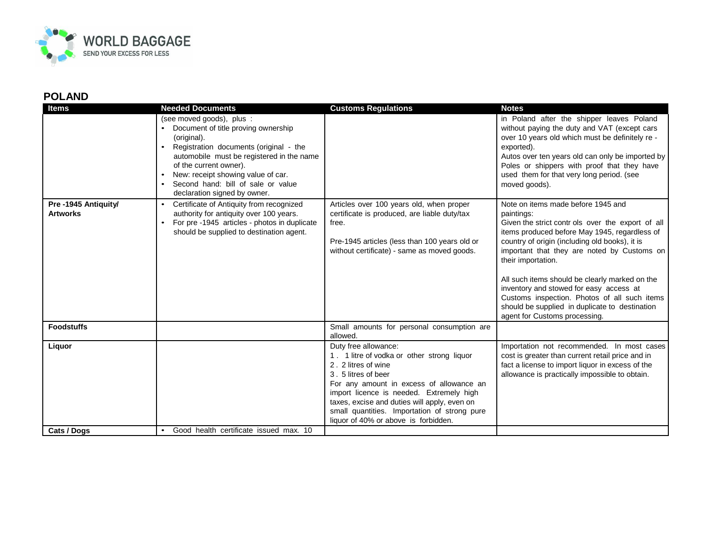

| <b>Items</b>                           | <b>Needed Documents</b>                                                                                                                                                                                                                                                                                      | <b>Customs Regulations</b>                                                                                                                                                                                                                                                                                                                      | <b>Notes</b>                                                                                                                                                                                                                                                                                                                                                                                                                                                                                                  |
|----------------------------------------|--------------------------------------------------------------------------------------------------------------------------------------------------------------------------------------------------------------------------------------------------------------------------------------------------------------|-------------------------------------------------------------------------------------------------------------------------------------------------------------------------------------------------------------------------------------------------------------------------------------------------------------------------------------------------|---------------------------------------------------------------------------------------------------------------------------------------------------------------------------------------------------------------------------------------------------------------------------------------------------------------------------------------------------------------------------------------------------------------------------------------------------------------------------------------------------------------|
|                                        | (see moved goods), plus :<br>Document of title proving ownership<br>(original).<br>Registration documents (original - the<br>automobile must be registered in the name<br>of the current owner).<br>New: receipt showing value of car.<br>Second hand: bill of sale or value<br>declaration signed by owner. |                                                                                                                                                                                                                                                                                                                                                 | in Poland after the shipper leaves Poland<br>without paying the duty and VAT (except cars<br>over 10 years old which must be definitely re -<br>exported).<br>Autos over ten years old can only be imported by<br>Poles or shippers with proof that they have<br>used them for that very long period. (see<br>moved goods).                                                                                                                                                                                   |
| Pre-1945 Antiquity/<br><b>Artworks</b> | Certificate of Antiquity from recognized<br>authority for antiquity over 100 years.<br>For pre -1945 articles - photos in duplicate<br>should be supplied to destination agent.                                                                                                                              | Articles over 100 years old, when proper<br>certificate is produced, are liable duty/tax<br>free.<br>Pre-1945 articles (less than 100 years old or<br>without certificate) - same as moved goods.                                                                                                                                               | Note on items made before 1945 and<br>paintings:<br>Given the strict contr ols over the export of all<br>items produced before May 1945, regardless of<br>country of origin (including old books), it is<br>important that they are noted by Customs on<br>their importation.<br>All such items should be clearly marked on the<br>inventory and stowed for easy access at<br>Customs inspection. Photos of all such items<br>should be supplied in duplicate to destination<br>agent for Customs processing. |
| <b>Foodstuffs</b>                      |                                                                                                                                                                                                                                                                                                              | Small amounts for personal consumption are<br>allowed.                                                                                                                                                                                                                                                                                          |                                                                                                                                                                                                                                                                                                                                                                                                                                                                                                               |
| Liquor                                 |                                                                                                                                                                                                                                                                                                              | Duty free allowance:<br>1. 1 litre of vodka or other strong liquor<br>2. 2 litres of wine<br>3.5 litres of beer<br>For any amount in excess of allowance an<br>import licence is needed. Extremely high<br>taxes, excise and duties will apply, even on<br>small quantities. Importation of strong pure<br>liquor of 40% or above is forbidden. | Importation not recommended. In most cases<br>cost is greater than current retail price and in<br>fact a license to import liquor in excess of the<br>allowance is practically impossible to obtain.                                                                                                                                                                                                                                                                                                          |
| Cats / Dogs                            | Good health certificate issued max. 10<br>$\bullet$                                                                                                                                                                                                                                                          |                                                                                                                                                                                                                                                                                                                                                 |                                                                                                                                                                                                                                                                                                                                                                                                                                                                                                               |